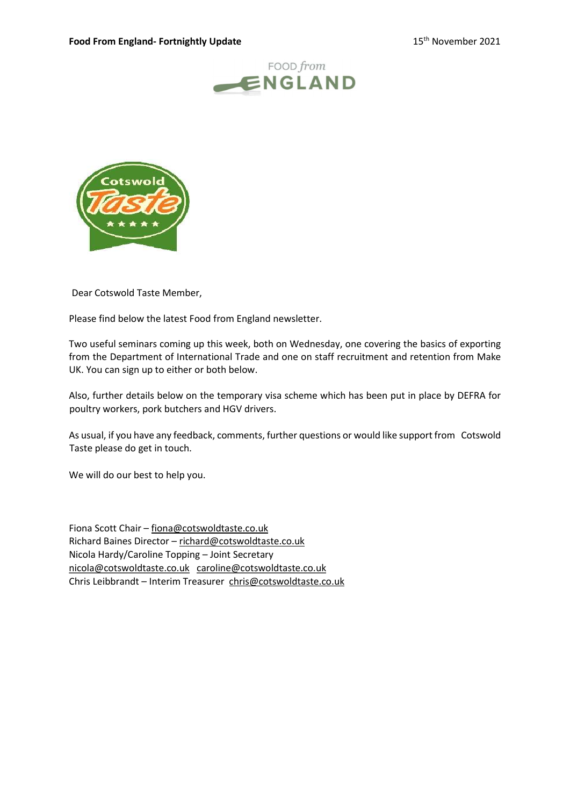



Dear Cotswold Taste Member,

Please find below the latest Food from England newsletter.

Two useful seminars coming up this week, both on Wednesday, one covering the basics of exporting from the Department of International Trade and one on staff recruitment and retention from Make UK. You can sign up to either or both below.

Also, further details below on the temporary visa scheme which has been put in place by DEFRA for poultry workers, pork butchers and HGV drivers.

As usual, if you have any feedback, comments, further questions or would like support from Cotswold Taste please do get in touch.

We will do our best to help you.

Fiona Scott Chair – fiona@cotswoldtaste.co.uk Richard Baines Director – richard@cotswoldtaste.co.uk Nicola Hardy/Caroline Topping – Joint Secretary nicola@cotswoldtaste.co.uk caroline@cotswoldtaste.co.uk Chris Leibbrandt – Interim Treasurer chris@cotswoldtaste.co.uk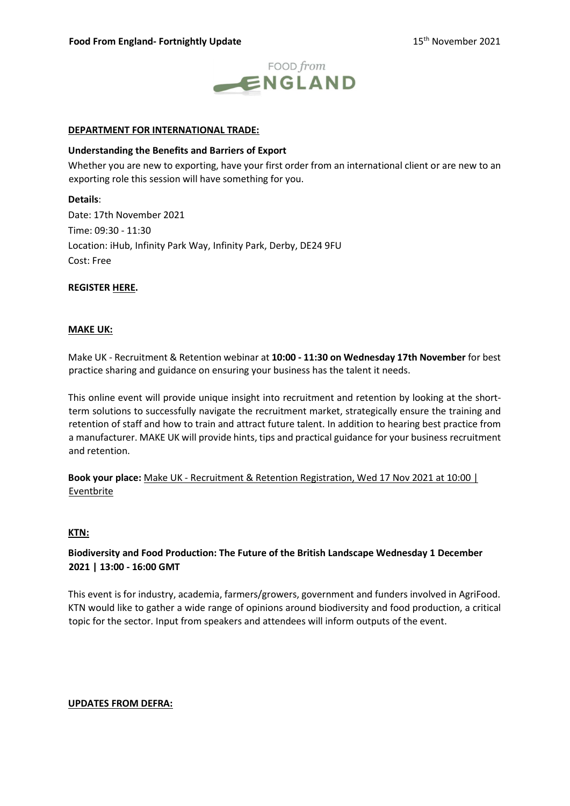

## DEPARTMENT FOR INTERNATIONAL TRADE:

### Understanding the Benefits and Barriers of Export

Whether you are new to exporting, have your first order from an international client or are new to an exporting role this session will have something for you.

Details: Date: 17th November 2021 Time: 09:30 - 11:30 Location: iHub, Infinity Park Way, Infinity Park, Derby, DE24 9FU Cost: Free

## REGISTER HERE.

### MAKE UK:

Make UK - Recruitment & Retention webinar at 10:00 - 11:30 on Wednesday 17th November for best practice sharing and guidance on ensuring your business has the talent it needs.

This online event will provide unique insight into recruitment and retention by looking at the shortterm solutions to successfully navigate the recruitment market, strategically ensure the training and retention of staff and how to train and attract future talent. In addition to hearing best practice from a manufacturer. MAKE UK will provide hints, tips and practical guidance for your business recruitment and retention.

Book your place: Make UK - Recruitment & Retention Registration, Wed 17 Nov 2021 at 10:00 | Eventbrite

## KTN:

# Biodiversity and Food Production: The Future of the British Landscape Wednesday 1 December 2021 | 13:00 - 16:00 GMT

This event is for industry, academia, farmers/growers, government and funders involved in AgriFood. KTN would like to gather a wide range of opinions around biodiversity and food production, a critical topic for the sector. Input from speakers and attendees will inform outputs of the event.

## UPDATES FROM DEFRA: